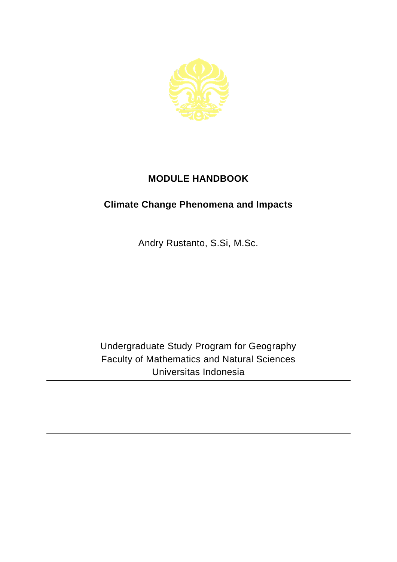

## **MODULE HANDBOOK**

## **Climate Change Phenomena and Impacts**

Andry Rustanto, S.Si, M.Sc.

Undergraduate Study Program for Geography Faculty of Mathematics and Natural Sciences Universitas Indonesia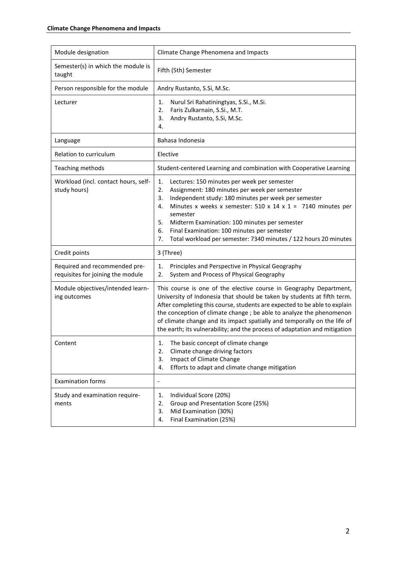| Module designation                                                 | Climate Change Phenomena and Impacts                                                                                                                                                                                                                                                                                                                                                                                                                         |
|--------------------------------------------------------------------|--------------------------------------------------------------------------------------------------------------------------------------------------------------------------------------------------------------------------------------------------------------------------------------------------------------------------------------------------------------------------------------------------------------------------------------------------------------|
| Semester(s) in which the module is<br>taught                       | Fifth (5th) Semester                                                                                                                                                                                                                                                                                                                                                                                                                                         |
| Person responsible for the module                                  | Andry Rustanto, S.Si, M.Sc.                                                                                                                                                                                                                                                                                                                                                                                                                                  |
| Lecturer                                                           | Nurul Sri Rahatiningtyas, S.Si., M.Si.<br>1.<br>Faris Zulkarnain, S.Si., M.T.<br>2.<br>Andry Rustanto, S.Si, M.Sc.<br>3.<br>4.                                                                                                                                                                                                                                                                                                                               |
| Language                                                           | Bahasa Indonesia                                                                                                                                                                                                                                                                                                                                                                                                                                             |
| Relation to curriculum                                             | Elective                                                                                                                                                                                                                                                                                                                                                                                                                                                     |
| Teaching methods                                                   | Student-centered Learning and combination with Cooperative Learning                                                                                                                                                                                                                                                                                                                                                                                          |
| Workload (incl. contact hours, self-<br>study hours)               | Lectures: 150 minutes per week per semester<br>1.<br>Assignment: 180 minutes per week per semester<br>2.<br>Independent study: 180 minutes per week per semester<br>3.<br>Minutes x weeks x semester: 510 x 14 x 1 = 7140 minutes per<br>4.<br>semester<br>5.<br>Midterm Examination: 100 minutes per semester<br>Final Examination: 100 minutes per semester<br>6.<br>Total workload per semester: 7340 minutes / 122 hours 20 minutes<br>7.                |
| Credit points                                                      | 3 (Three)                                                                                                                                                                                                                                                                                                                                                                                                                                                    |
| Required and recommended pre-<br>requisites for joining the module | Principles and Perspective in Physical Geography<br>1.<br>System and Process of Physical Geography<br>2.                                                                                                                                                                                                                                                                                                                                                     |
| Module objectives/intended learn-<br>ing outcomes                  | This course is one of the elective course in Geography Department,<br>University of Indonesia that should be taken by students at fifth term.<br>After completing this course, students are expected to be able to explain<br>the conception of climate change ; be able to analyze the phenomenon<br>of climate change and its impact spatially and temporally on the life of<br>the earth; its vulnerability; and the process of adaptation and mitigation |
| Content                                                            | The basic concept of climate change<br>1.<br>Climate change driving factors<br>2.<br>Impact of Climate Change<br>3.<br>Efforts to adapt and climate change mitigation<br>4.                                                                                                                                                                                                                                                                                  |
| <b>Examination forms</b>                                           | $\overline{\phantom{0}}$                                                                                                                                                                                                                                                                                                                                                                                                                                     |
| Study and examination require-<br>ments                            | Individual Score (20%)<br>1.<br>Group and Presentation Score (25%)<br>2.<br>Mid Examination (30%)<br>3.<br>Final Examination (25%)<br>4.                                                                                                                                                                                                                                                                                                                     |